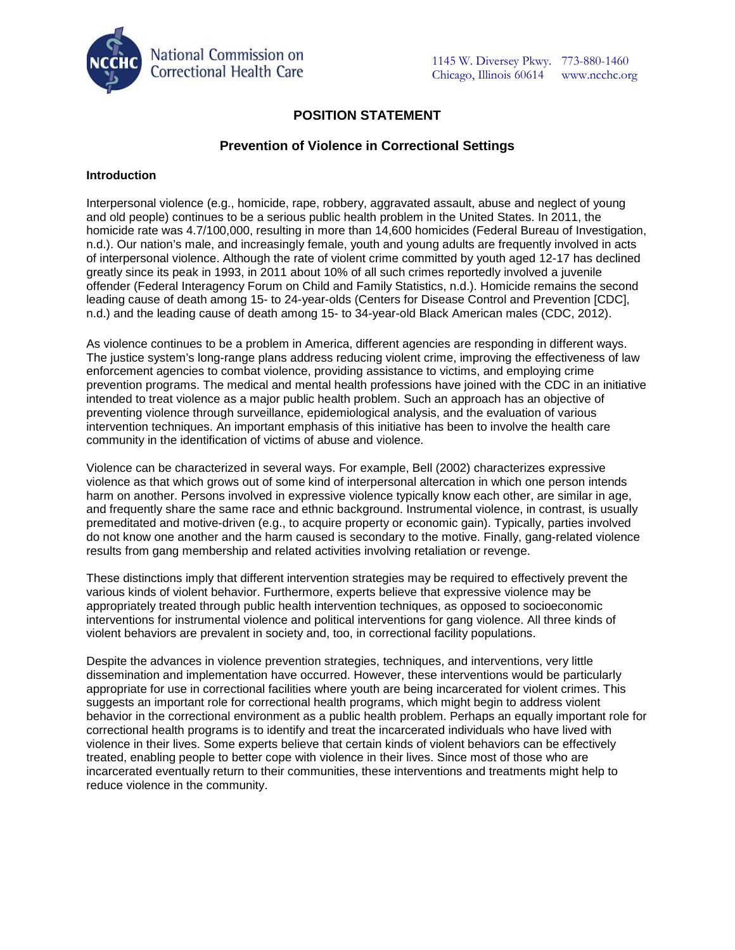

# **POSITION STATEMENT**

# **Prevention of Violence in Correctional Settings**

### **Introduction**

Interpersonal violence (e.g., homicide, rape, robbery, aggravated assault, abuse and neglect of young and old people) continues to be a serious public health problem in the United States. In 2011, the homicide rate was 4.7/100,000, resulting in more than 14,600 homicides (Federal Bureau of Investigation, n.d.). Our nation's male, and increasingly female, youth and young adults are frequently involved in acts of interpersonal violence. Although the rate of violent crime committed by youth aged 12-17 has declined greatly since its peak in 1993, in 2011 about 10% of all such crimes reportedly involved a juvenile offender (Federal Interagency Forum on Child and Family Statistics, n.d.). Homicide remains the second leading cause of death among 15- to 24-year-olds (Centers for Disease Control and Prevention [CDC], n.d.) and the leading cause of death among 15- to 34-year-old Black American males (CDC, 2012).

As violence continues to be a problem in America, different agencies are responding in different ways. The justice system's long-range plans address reducing violent crime, improving the effectiveness of law enforcement agencies to combat violence, providing assistance to victims, and employing crime prevention programs. The medical and mental health professions have joined with the CDC in an initiative intended to treat violence as a major public health problem. Such an approach has an objective of preventing violence through surveillance, epidemiological analysis, and the evaluation of various intervention techniques. An important emphasis of this initiative has been to involve the health care community in the identification of victims of abuse and violence.

Violence can be characterized in several ways. For example, Bell (2002) characterizes expressive violence as that which grows out of some kind of interpersonal altercation in which one person intends harm on another. Persons involved in expressive violence typically know each other, are similar in age, and frequently share the same race and ethnic background. Instrumental violence, in contrast, is usually premeditated and motive-driven (e.g., to acquire property or economic gain). Typically, parties involved do not know one another and the harm caused is secondary to the motive. Finally, gang-related violence results from gang membership and related activities involving retaliation or revenge.

These distinctions imply that different intervention strategies may be required to effectively prevent the various kinds of violent behavior. Furthermore, experts believe that expressive violence may be appropriately treated through public health intervention techniques, as opposed to socioeconomic interventions for instrumental violence and political interventions for gang violence. All three kinds of violent behaviors are prevalent in society and, too, in correctional facility populations.

Despite the advances in violence prevention strategies, techniques, and interventions, very little dissemination and implementation have occurred. However, these interventions would be particularly appropriate for use in correctional facilities where youth are being incarcerated for violent crimes. This suggests an important role for correctional health programs, which might begin to address violent behavior in the correctional environment as a public health problem. Perhaps an equally important role for correctional health programs is to identify and treat the incarcerated individuals who have lived with violence in their lives. Some experts believe that certain kinds of violent behaviors can be effectively treated, enabling people to better cope with violence in their lives. Since most of those who are incarcerated eventually return to their communities, these interventions and treatments might help to reduce violence in the community.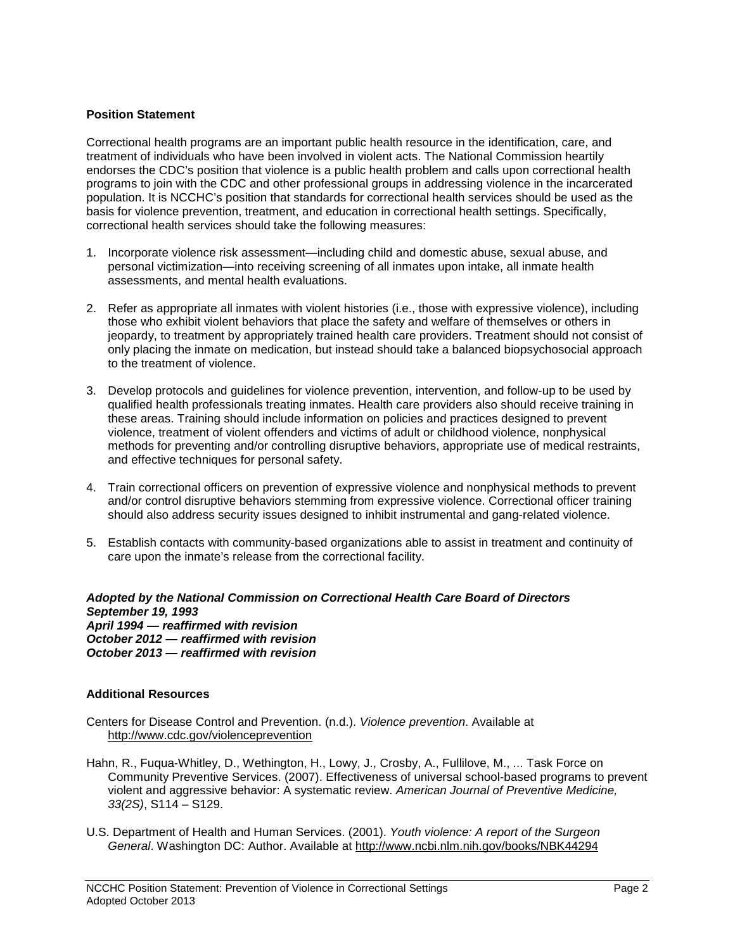### **Position Statement**

Correctional health programs are an important public health resource in the identification, care, and treatment of individuals who have been involved in violent acts. The National Commission heartily endorses the CDC's position that violence is a public health problem and calls upon correctional health programs to join with the CDC and other professional groups in addressing violence in the incarcerated population. It is NCCHC's position that standards for correctional health services should be used as the basis for violence prevention, treatment, and education in correctional health settings. Specifically, correctional health services should take the following measures:

- 1. Incorporate violence risk assessment—including child and domestic abuse, sexual abuse, and personal victimization—into receiving screening of all inmates upon intake, all inmate health assessments, and mental health evaluations.
- 2. Refer as appropriate all inmates with violent histories (i.e., those with expressive violence), including those who exhibit violent behaviors that place the safety and welfare of themselves or others in jeopardy, to treatment by appropriately trained health care providers. Treatment should not consist of only placing the inmate on medication, but instead should take a balanced biopsychosocial approach to the treatment of violence.
- 3. Develop protocols and guidelines for violence prevention, intervention, and follow-up to be used by qualified health professionals treating inmates. Health care providers also should receive training in these areas. Training should include information on policies and practices designed to prevent violence, treatment of violent offenders and victims of adult or childhood violence, nonphysical methods for preventing and/or controlling disruptive behaviors, appropriate use of medical restraints, and effective techniques for personal safety.
- 4. Train correctional officers on prevention of expressive violence and nonphysical methods to prevent and/or control disruptive behaviors stemming from expressive violence. Correctional officer training should also address security issues designed to inhibit instrumental and gang-related violence.
- 5. Establish contacts with community-based organizations able to assist in treatment and continuity of care upon the inmate's release from the correctional facility.

#### *Adopted by the National Commission on Correctional Health Care Board of Directors September 19, 1993 April 1994 — reaffirmed with revision October 2012 — reaffirmed with revision October 2013 — reaffirmed with revision*

#### **Additional Resources**

- Centers for Disease Control and Prevention. (n.d.). *Violence prevention*. Available at <http://www.cdc.gov/violenceprevention>
- Hahn, R., Fuqua-Whitley, D., Wethington, H., Lowy, J., Crosby, A., Fullilove, M., ... Task Force on Community Preventive Services. (2007). Effectiveness of universal school-based programs to prevent violent and aggressive behavior: A systematic review. *American Journal of Preventive Medicine, 33(2S)*, S114 – S129.
- U.S. Department of Health and Human Services. (2001). *Youth violence: A report of the Surgeon General*. Washington DC: Author. Available at<http://www.ncbi.nlm.nih.gov/books/NBK44294>